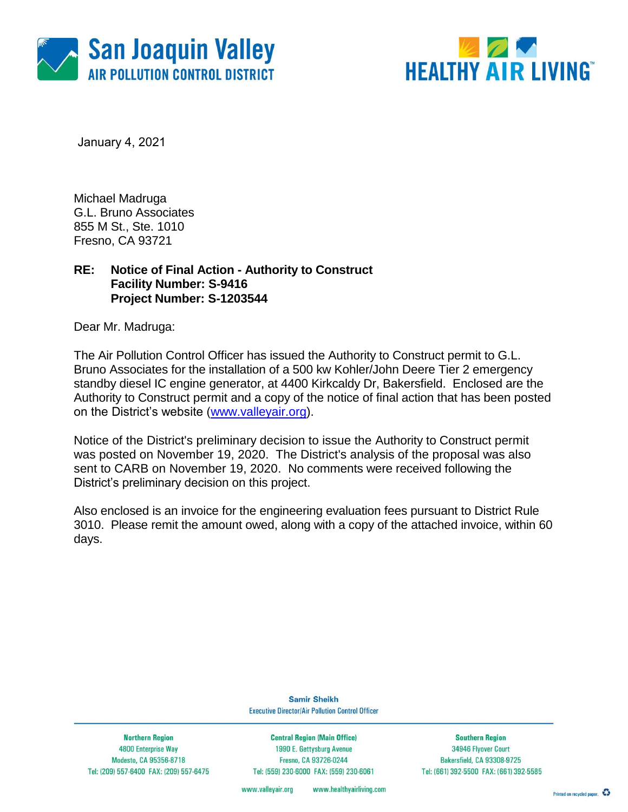



January 4, 2021

Michael Madruga G.L. Bruno Associates 855 M St., Ste. 1010 Fresno, CA 93721

### **RE: Notice of Final Action - Authority to Construct Facility Number: S-9416 Project Number: S-1203544**

Dear Mr. Madruga:

The Air Pollution Control Officer has issued the Authority to Construct permit to G.L. Bruno Associates for the installation of a 500 kw Kohler/John Deere Tier 2 emergency standby diesel IC engine generator, at 4400 Kirkcaldy Dr, Bakersfield. Enclosed are the Authority to Construct permit and a copy of the notice of final action that has been posted on the District's website [\(www.valleyair.org\)](http://www.valleyair.org/).

Notice of the District's preliminary decision to issue the Authority to Construct permit was posted on November 19, 2020. The District's analysis of the proposal was also sent to CARB on November 19, 2020. No comments were received following the District's preliminary decision on this project.

Also enclosed is an invoice for the engineering evaluation fees pursuant to District Rule 3010. Please remit the amount owed, along with a copy of the attached invoice, within 60 days.

> **Samir Sheikh Executive Director/Air Pollution Control Officer**

**Northern Region** 4800 Enterprise Way Modesto, CA 95356-8718 Tel: (209) 557-6400 FAX: (209) 557-6475

**Central Region (Main Office)** 1990 E. Gettysburg Avenue Fresno, CA 93726-0244 Tel: (559) 230-6000 FAX: (559) 230-6061

**Southern Region** 34946 Flyover Court Bakersfield, CA 93308-9725 Tel: (661) 392-5500 FAX: (661) 392-5585

www.valleyair.org www.healthyairliving.com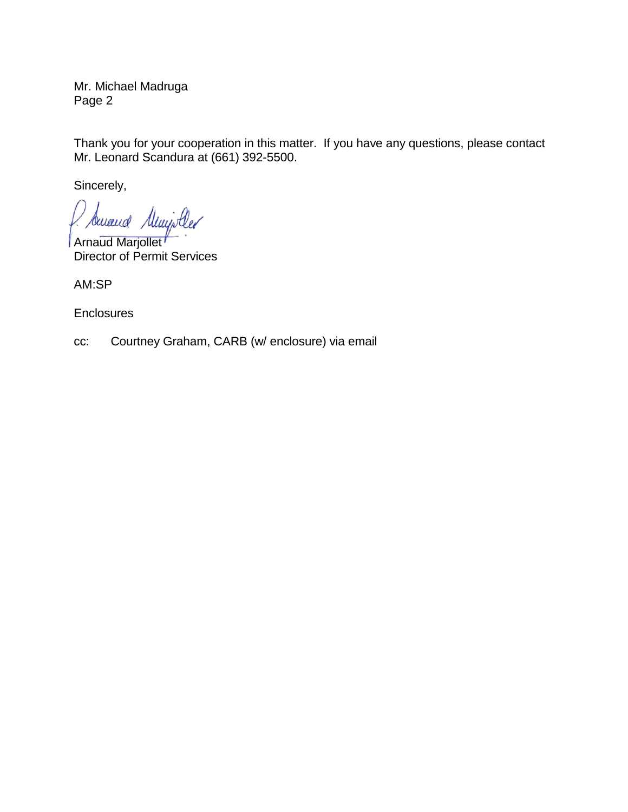Mr. Michael Madruga Page 2

Thank you for your cooperation in this matter. If you have any questions, please contact Mr. Leonard Scandura at (661) 392-5500.

Sincerely,

Sencend Muniscler

**Arnaud Marjollet** Director of Permit Services

AM:SP

**Enclosures** 

cc: Courtney Graham, CARB (w/ enclosure) via email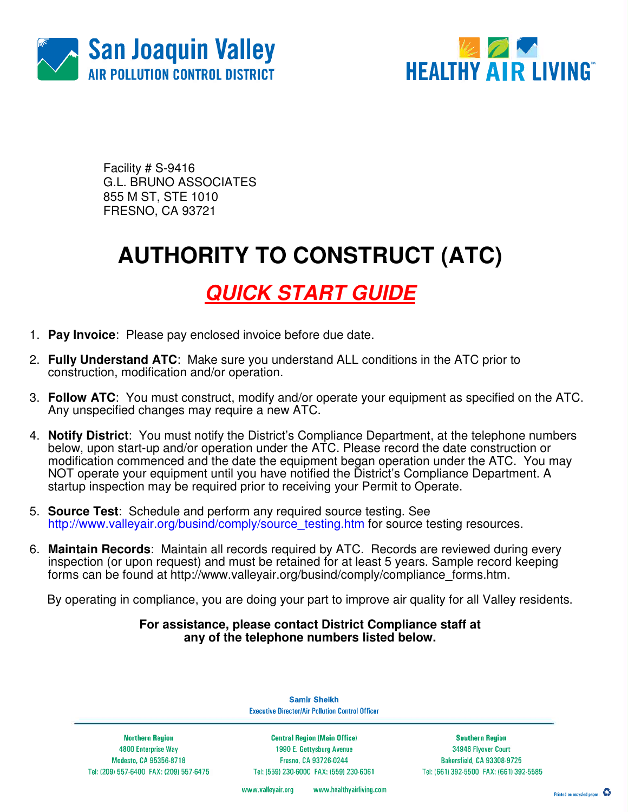



Facility # S-9416 G.L. BRUNO ASSOCIATES 855 M ST, STE 1010 FRESNO, CA 93721

## **AUTHORITY TO CONSTRUCT (ATC)**

### **QUICK START GUIDE**

- 1. **Pay Invoice**: Please pay enclosed invoice before due date.
- 2. **Fully Understand ATC**: Make sure you understand ALL conditions in the ATC prior to construction, modification and/or operation.
- 3. **Follow ATC**: You must construct, modify and/or operate your equipment as specified on the ATC. Any unspecified changes may require a new ATC.
- 4. **Notify District**: You must notify the District's Compliance Department, at the telephone numbers below, upon start-up and/or operation under the ATC. Please record the date construction or modification commenced and the date the equipment began operation under the ATC. You may NOT operate your equipment until you have notified the District's Compliance Department. A startup inspection may be required prior to receiving your Permit to Operate.
- 5. **Source Test**:Schedule and perform any required source testing. See http://www.valleyair.org/busind/comply/source\_testing.htm for source testing resources.
- 6. **Maintain Records**:Maintain all records required by ATC. Records are reviewed during every inspection (or upon request) and must be retained for at least 5 years. Sample record keeping forms can be found at http://www.valleyair.org/busind/comply/compliance\_forms.htm.

By operating in compliance, you are doing your part to improve air quality for all Valley residents.

#### **For assistance, please contact District Compliance staff at any of the telephone numbers listed below.**

**Executive Director/Air Pollution Control Officer** 

**Northern Region** 4800 Enterprise Way Modesto, CA 95356-8718 Tel: (209) 557-6400 FAX: (209) 557-6475

**Central Region (Main Office)** 1990 E. Gettysburg Avenue Fresno, CA 93726-0244 Tel: (559) 230-6000 FAX: (559) 230-6061

**Samir Sheikh** 

**Southern Region** 34946 Flyover Court Bakersfield, CA 93308-9725 Tel: (661) 392-5500 FAX: (661) 392-5585

www.valleyair.org www.healthyairliving.com

Printed on recycled paper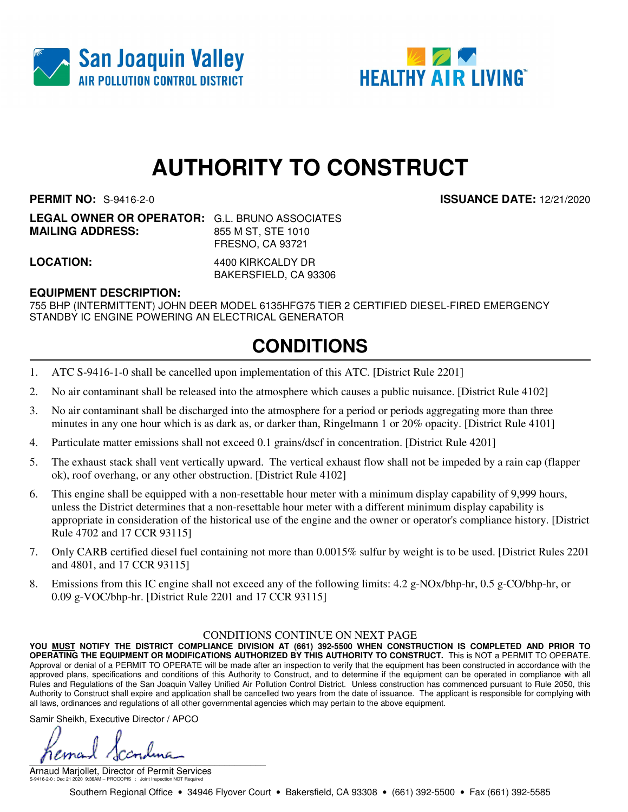



# **AUTHORITY TO CONSTRUCT**

**PERMIT NO:** S-9416-2-0 **ISSUANCE DATE:** 12/21/2020

**LEGAL OWNER OR OPERATOR:** G.L. BRUNO ASSOCIATES **MAILING ADDRESS:** 855 M ST, STE 1010 FRESNO, CA 93721

**LOCATION:** 4400 KIRKCALDY DR BAKERSFIELD, CA 93306

### **EQUIPMENT DESCRIPTION:**

755 BHP (INTERMITTENT) JOHN DEER MODEL 6135HFG75 TIER 2 CERTIFIED DIESEL-FIRED EMERGENCY STANDBY IC ENGINE POWERING AN ELECTRICAL GENERATOR

### **CONDITIONS**

- 1. ATC S-9416-1-0 shall be cancelled upon implementation of this ATC. [District Rule 2201]
- 2. No air contaminant shall be released into the atmosphere which causes a public nuisance. [District Rule 4102]
- 3. No air contaminant shall be discharged into the atmosphere for a period or periods aggregating more than three minutes in any one hour which is as dark as, or darker than, Ringelmann 1 or 20% opacity. [District Rule 4101]
- 4. Particulate matter emissions shall not exceed 0.1 grains/dscf in concentration. [District Rule 4201]
- 5. The exhaust stack shall vent vertically upward. The vertical exhaust flow shall not be impeded by a rain cap (flapper ok), roof overhang, or any other obstruction. [District Rule 4102]
- 6. This engine shall be equipped with a non-resettable hour meter with a minimum display capability of 9,999 hours, unless the District determines that a non-resettable hour meter with a different minimum display capability is appropriate in consideration of the historical use of the engine and the owner or operator's compliance history. [District Rule 4702 and 17 CCR 93115]
- 7. Only CARB certified diesel fuel containing not more than 0.0015% sulfur by weight is to be used. [District Rules 2201 and 4801, and 17 CCR 93115]
- 8. Emissions from this IC engine shall not exceed any of the following limits: 4.2 g-NOx/bhp-hr, 0.5 g-CO/bhp-hr, or 0.09 g-VOC/bhp-hr. [District Rule 2201 and 17 CCR 93115]

#### CONDITIONS CONTINUE ON NEXT PAGE

**YOU MUST NOTIFY THE DISTRICT COMPLIANCE DIVISION AT (661) 392-5500 WHEN CONSTRUCTION IS COMPLETED AND PRIOR TO OPERATING THE EQUIPMENT OR MODIFICATIONS AUTHORIZED BY THIS AUTHORITY TO CONSTRUCT.** This is NOT a PERMIT TO OPERATE. Approval or denial of a PERMIT TO OPERATE will be made after an inspection to verify that the equipment has been constructed in accordance with the approved plans, specifications and conditions of this Authority to Construct, and to determine if the equipment can be operated in compliance with all Rules and Regulations of the San Joaquin Valley Unified Air Pollution Control District. Unless construction has commenced pursuant to Rule 2050, this Authority to Construct shall expire and application shall be cancelled two years from the date of issuance. The applicant is responsible for complying with all laws, ordinances and regulations of all other governmental agencies which may pertain to the above equipment.

Samir Sheikh, Executive Director / APCO

 $\int$ 

Arnaud Marjollet, Director of Permit Services S-9416-2-0 : Dec 21 2020 9:36AM -- PROCOPIS : Joint Inspection NOT Required

Southern Regional Office • 34946 Flyover Court • Bakersfield, CA 93308 • (661) 392-5500 • Fax (661) 392-5585